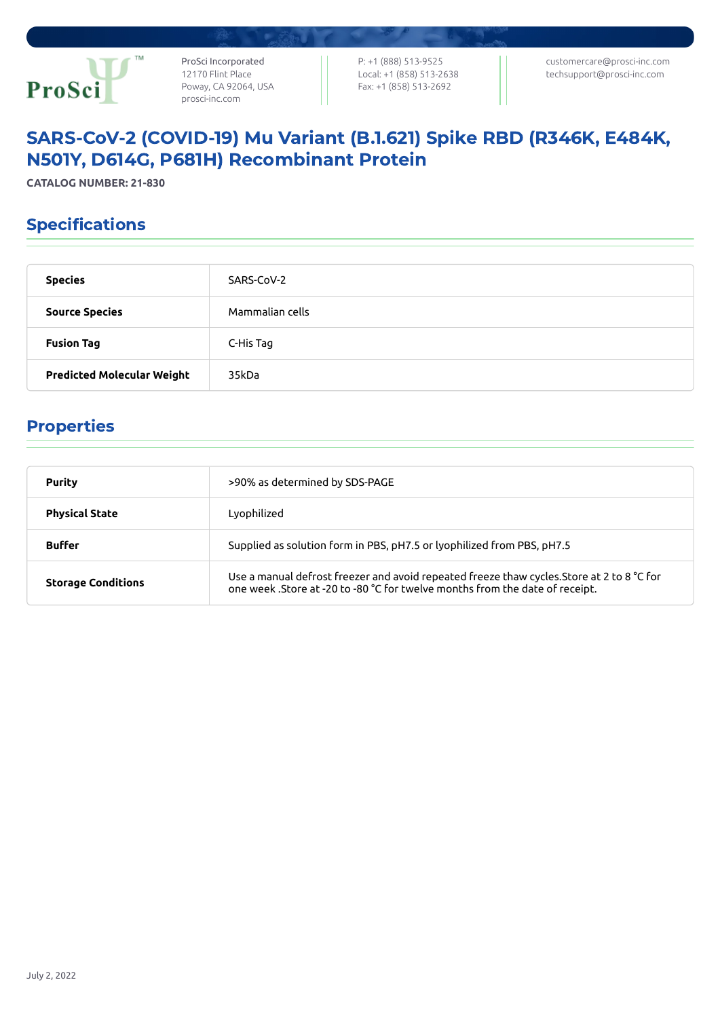

ProSci Incorporated 12170 Flint Place Poway, CA 92064, USA [prosci-inc.com](https://prosci-inc.com/)

P: +1 (888) 513-9525 Local: +1 (858) 513-2638 Fax: +1 (858) 513-2692

[customercare@prosci-inc.com](mailto:customercare@prosci-inc.com) [techsupport@prosci-inc.com](mailto:techsupport@prosci-inc.com)

# SARS-CoV-2 (COVID-19) Mu Variant (B.1.621) Spike RBD (R346K, E484K, N501Y, D614G, P681H) Recombinant Protein

**CATALOG NUMBER: 21-830**

## Specifications

| <b>Species</b>                    | SARS-CoV-2      |
|-----------------------------------|-----------------|
| <b>Source Species</b>             | Mammalian cells |
| <b>Fusion Tag</b>                 | C-His Tag       |
| <b>Predicted Molecular Weight</b> | 35kDa           |

### Properties

| <b>Purity</b>             | >90% as determined by SDS-PAGE                                                                                                                                             |
|---------------------------|----------------------------------------------------------------------------------------------------------------------------------------------------------------------------|
| <b>Physical State</b>     | Lyophilized                                                                                                                                                                |
| <b>Buffer</b>             | Supplied as solution form in PBS, pH7.5 or lyophilized from PBS, pH7.5                                                                                                     |
| <b>Storage Conditions</b> | Use a manual defrost freezer and avoid repeated freeze thaw cycles. Store at 2 to 8 °C for<br>one week .Store at -20 to -80 °C for twelve months from the date of receipt. |